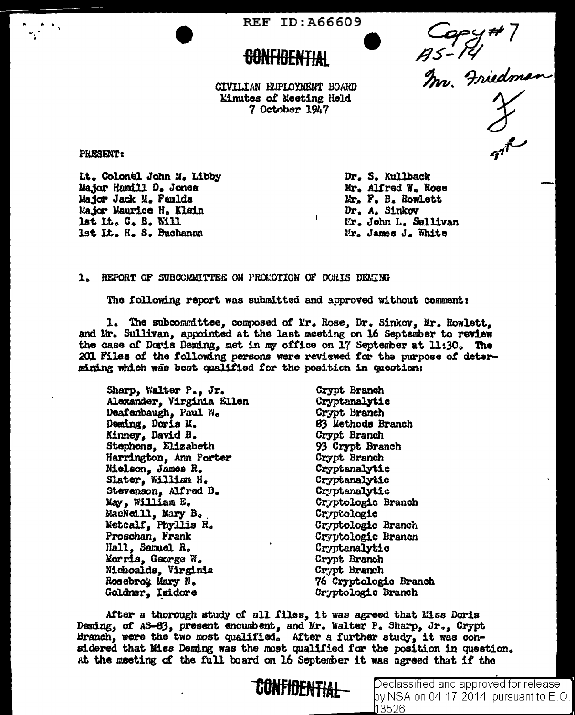REF ID: A66609

Capy#7<br>As-14<br>Im. Friedman

CIVILIAN ELPLOYMENT BOARD **Einutes of Meeting Held** 7 October 1947

PRESENT:

Lt. Colonel John M. Libby Major Hamill D. Jones Major Jack M. Paulds Major Maurice H. Klein lst Lt. C. B. Will 1st It. H. S. Buchanan

Dr. S. Kullback Mr. Alfred W. Rose Mr. F. B. Rowlett Dr. A. Sinkov Mr. John L. Sullivan Mr. James J. White

# 1. REFORT OF SUBCOMMITTEE ON PROMOTION OF DORIS DEMING

The following report was submitted and approved without comment:

 $\mathbf{F}$ 

1. The subcommittee, composed of Mr. Rose, Dr. Sinkov, Mr. Rowlett, and lir. Sullivan, appointed at the last meeting on 16 September to review the case of Doris Deming, met in my office on 17 September at 11:30. The 201 Files of the following persons were reviewed for the purpose of determining which was best qualified for the position in question:

Sharp, Walter P., Jr. Alexander, Virginia Ellen Deafenbaugh, Paul W. Deming, Doris M.<br>Kinney, David B. Stephens, Elizabeth Harrington, Ann Porter Nielson, James R. Slater, William H. Stevenson, Alfred B. May, William E. MacNeill, Mary B. Metcalf, Phyllis R. Proschan, Frank Hall, Samuel R. Morris, George W. Nichoalds, Virginia Rosebrok Mary N. Goldner, Isidore

Crypt Branch Cryptanalytic Crypt Branch 83 Methods Branch Crypt Branch 93 Crypt Branch Crypt Branch Cryptanalytic Cryptanalytic Cryptanalytic Cryptologic Branch Cryptologic Cryptologic Branch Cryptologic Brancn Cryptanalytic Crypt Branch Crypt Branch 76 Cryptologic Branch Cryptologic Branch

After a thorough study of all files, it was agreed that Liss Doris Deming, of AS-83, present encumbent, and Mr. Walter P. Sharp, Jr., Crypt Branch, were the two most qualified. After a further study, it was considered that Miss Deming was the most qualified for the position in question. at the meeting of the full board on 16 September it was agreed that if the



Declassified and approved for release by NSA on 04-17-2014 pursuant to E.O. 13526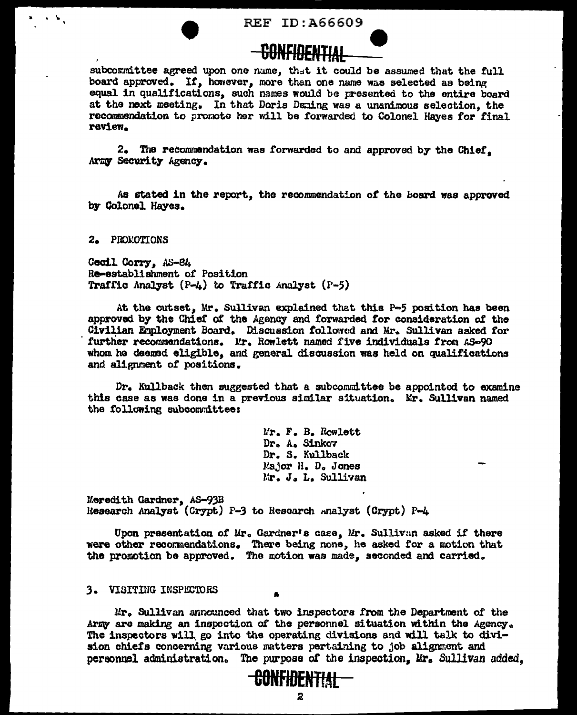REF ID: A66609



subcommittee agreed upon one name, that it could be assumed that the full board approved. If, however, more than one name was selected as being equal in qualifications, such names would be presented to the entire board at the next meeting. In that Doris Deming was a unanimous selection, the recommendation to promote her will be forwarded to Colonel Haves for final review.

2. The recommendation was forwarded to and approved by the Chief. Army Security Agency.

As stated in the report, the recommendation of the board was approved by Colonel Hayes.

2. PROMOTIONS

Cecil Corry, AS-84 Re-establishment of Position Traffic Analyst  $(P-t)$  to Traffic Analyst  $(P-t)$ 

At the outset. Mr. Sullivan explained that this P-5 position has been approved by the Chief of the Agency and forwarded for consideration of the Civilian Employment Board. Discussion followed and Mr. Sullivan asked for further recommendations. Mr. Rowlett named five individuals from AS-90 whom he deemed eligible, and general discussion was held on qualifications and alignment of positions.

Dr. Kullback then suggested that a subcommittee be appointed to examine this case as was done in a previous similar situation. Mr. Sullivan named the following subcommittee:

> Mr. F. B. Rowlett Dr. A. Sinkov Dr. S. Kullback Major H. D. Jones Mr. J. L. Sullivan

Meredith Gardner, AS-93B Research Analyst (Crypt) P-3 to Research Analyst (Crypt) P-4

Upon presentation of Mr. Gardner's case, Mr. Sullivan asked if there were other recommendations. There being none, he asked for a motion that the promotion be approved. The motion was made, seconded and carried.

## 3. VISITING INSPECTORS

Mr. Sullivan announced that two inspectors from the Department of the Army are making an inspection of the personnel situation within the Agency. The inspectors will go into the operating divisions and will talk to division chiefs concerning various matters pertaining to job alignment and personnel administration. The purpose of the inspection. Mr. Sullivan added.